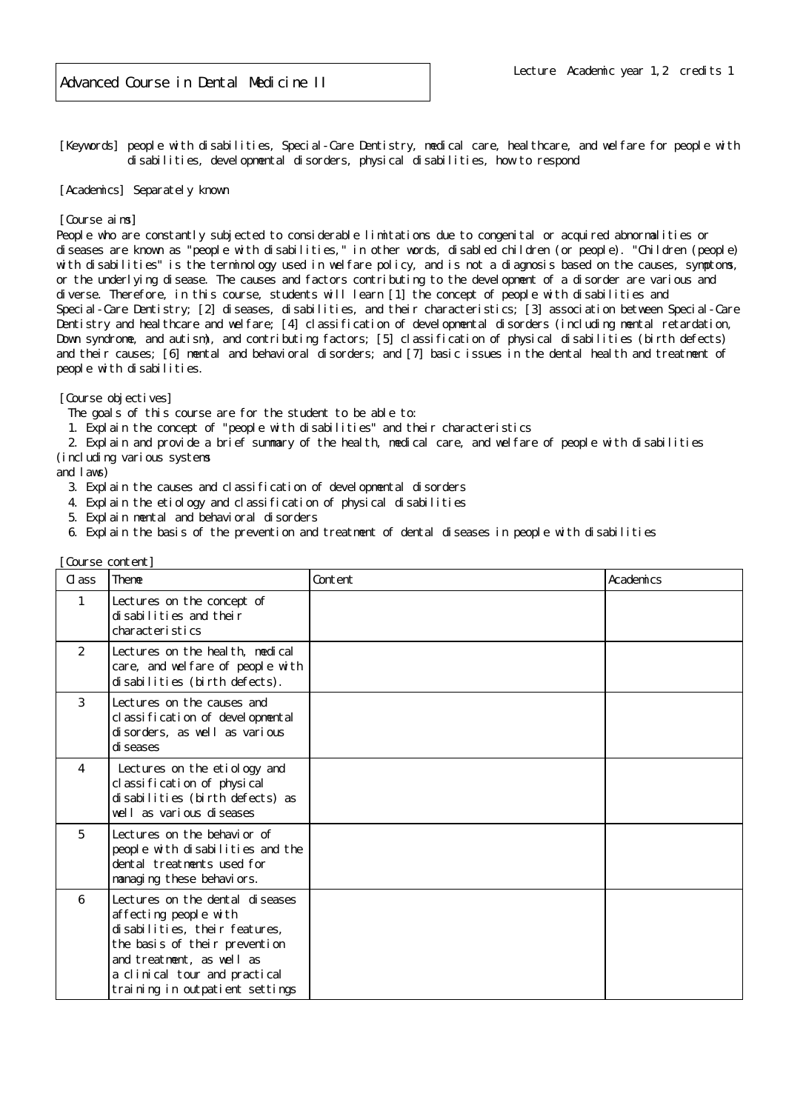[Keywords] people with disabilities, Special-Care Dentistry, medical care, healthcare, and welfare for people with disabilities, developmental disorders, physical disabilities, how to respond

[Academics] Separately known

## [Course aims]

People who are constantly subjected to considerable limitations due to congenital or acquired abnormalities or diseases are known as "people with disabilities," in other words, disabled children (or people). "Children (people) with disabilities" is the terminology used in welfare policy, and is not a diagnosis based on the causes, symptoms, or the underlying disease. The causes and factors contributing to the development of a disorder are various and diverse. Therefore, in this course, students will learn [1] the concept of people with disabilities and Special-Care Dentistry; [2] diseases, disabilities, and their characteristics; [3] association between Special-Care Dentistry and healthcare and welfare; [4] classification of developmental disorders (including mental retardation, Down syndrome, and autism), and contributing factors; [5] classification of physical disabilities (birth defects) and their causes; [6] mental and behavioral disorders; and [7] basic issues in the dental health and treatment of people with disabilities.

[Course objectives]

The goals of this course are for the student to be able to:

1. Explain the concept of "people with disabilities" and their characteristics

 2. Explain and provide a brief summary of the health, medical care, and welfare of people with disabilities (including various systems

and laws)

- 3. Explain the causes and classification of developmental disorders
- 4. Explain the etiology and classification of physical disabilities
- 5. Explain mental and behavioral disorders
- 6. Explain the basis of the prevention and treatment of dental diseases in people with disabilities

| Course content] |                                                                                                                                                                                                                              |         |           |
|-----------------|------------------------------------------------------------------------------------------------------------------------------------------------------------------------------------------------------------------------------|---------|-----------|
| $\alpha$ ass    | Theme                                                                                                                                                                                                                        | Content | Academics |
| $\mathbf{1}$    | Lectures on the concept of<br>di sabilities and their<br>characteristics                                                                                                                                                     |         |           |
| 2               | Lectures on the heal th, medical<br>care, and welfare of people with<br>disabilities (birth defects).                                                                                                                        |         |           |
| $\mathcal{S}$   | Lectures on the causes and<br>classification of developmental<br>disorders, as well as various<br>di seases                                                                                                                  |         |           |
| $\overline{4}$  | Lectures on the etiology and<br>cl assi fi cati on of physical<br>disabilities (birth defects) as<br>well as various diseases                                                                                                |         |           |
| 5               | Lectures on the behavior of<br>people with disabilities and the<br>dental treatments used for<br>managing these behaviors.                                                                                                   |         |           |
| 6               | Lectures on the dental diseases<br>affecting people with<br>di sabilities, their features,<br>the basis of their prevention<br>and treatment, as well as<br>a clinical tour and practical<br>training in outpatient settings |         |           |